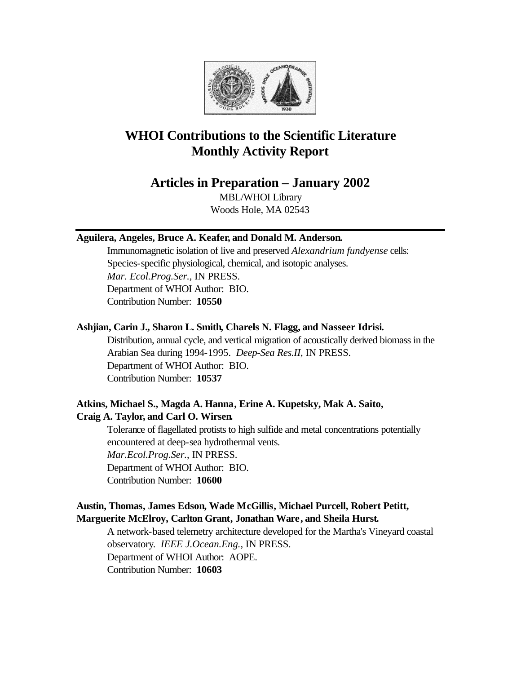

# **WHOI Contributions to the Scientific Literature Monthly Activity Report**

# **Articles in Preparation – January 2002**

MBL/WHOI Library Woods Hole, MA 02543

# **Aguilera, Angeles, Bruce A. Keafer, and Donald M. Anderson.**

Immunomagnetic isolation of live and preserved *Alexandrium fundyense* cells: Species-specific physiological, chemical, and isotopic analyses. *Mar. Ecol.Prog.Ser.*, IN PRESS. Department of WHOI Author: BIO. Contribution Number: **10550**

# **Ashjian, Carin J., Sharon L. Smith, Charels N. Flagg, and Nasseer Idrisi.**

Distribution, annual cycle, and vertical migration of acoustically derived biomass in the Arabian Sea during 1994-1995. *Deep-Sea Res.II*, IN PRESS. Department of WHOI Author: BIO. Contribution Number: **10537**

# **Atkins, Michael S., Magda A. Hanna, Erine A. Kupetsky, Mak A. Saito, Craig A. Taylor, and Carl O. Wirsen.**

Tolerance of flagellated protists to high sulfide and metal concentrations potentially encountered at deep-sea hydrothermal vents. *Mar.Ecol.Prog.Ser.*, IN PRESS. Department of WHOI Author: BIO. Contribution Number: **10600**

# **Austin, Thomas, James Edson, Wade McGillis, Michael Purcell, Robert Petitt, Marguerite McElroy, Carlton Grant, Jonathan Ware, and Sheila Hurst.**

A network-based telemetry architecture developed for the Martha's Vineyard coastal observatory. *IEEE J.Ocean.Eng.*, IN PRESS. Department of WHOI Author: AOPE. Contribution Number: **10603**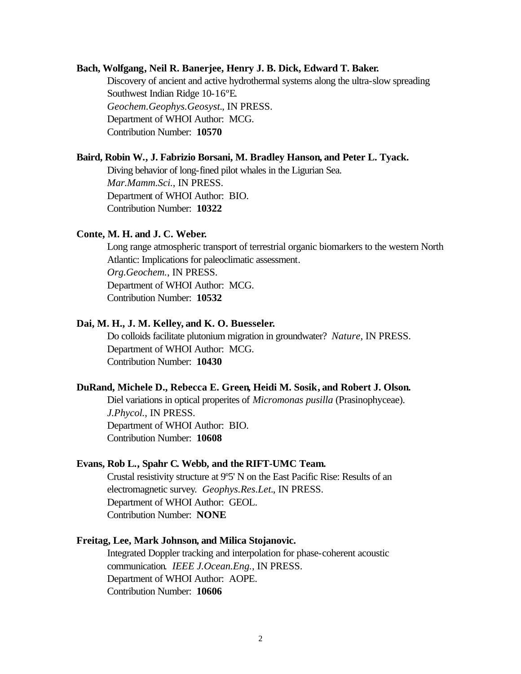#### **Bach, Wolfgang, Neil R. Banerjee, Henry J. B. Dick, Edward T. Baker.**

Discovery of ancient and active hydrothermal systems along the ultra-slow spreading Southwest Indian Ridge 10-16ºE. *Geochem.Geophys.Geosyst.*, IN PRESS. Department of WHOI Author: MCG. Contribution Number: **10570**

#### **Baird, Robin W., J. Fabrizio Borsani, M. Bradley Hanson, and Peter L. Tyack.**

Diving behavior of long-fined pilot whales in the Ligurian Sea. *Mar.Mamm.Sci.*, IN PRESS. Department of WHOI Author: BIO. Contribution Number: **10322**

#### **Conte, M. H. and J. C. Weber.**

Long range atmospheric transport of terrestrial organic biomarkers to the western North Atlantic: Implications for paleoclimatic assessment. *Org.Geochem.*, IN PRESS. Department of WHOI Author: MCG. Contribution Number: **10532**

### **Dai, M. H., J. M. Kelley, and K. O. Buesseler.**

Do colloids facilitate plutonium migration in groundwater? *Nature*, IN PRESS. Department of WHOI Author: MCG. Contribution Number: **10430**

#### **DuRand, Michele D., Rebecca E. Green, Heidi M. Sosik, and Robert J. Olson.**

Diel variations in optical properites of *Micromonas pusilla* (Prasinophyceae). *J.Phycol.*, IN PRESS. Department of WHOI Author: BIO. Contribution Number: **10608**

#### **Evans, Rob L., Spahr C. Webb, and the RIFT-UMC Team.**

Crustal resistivity structure at 9º5' N on the East Pacific Rise: Results of an electromagnetic survey. *Geophys.Res.Let.*, IN PRESS. Department of WHOI Author: GEOL. Contribution Number: **NONE**

# **Freitag, Lee, Mark Johnson, and Milica Stojanovic.**

Integrated Doppler tracking and interpolation for phase-coherent acoustic communication. *IEEE J.Ocean.Eng.*, IN PRESS. Department of WHOI Author: AOPE. Contribution Number: **10606**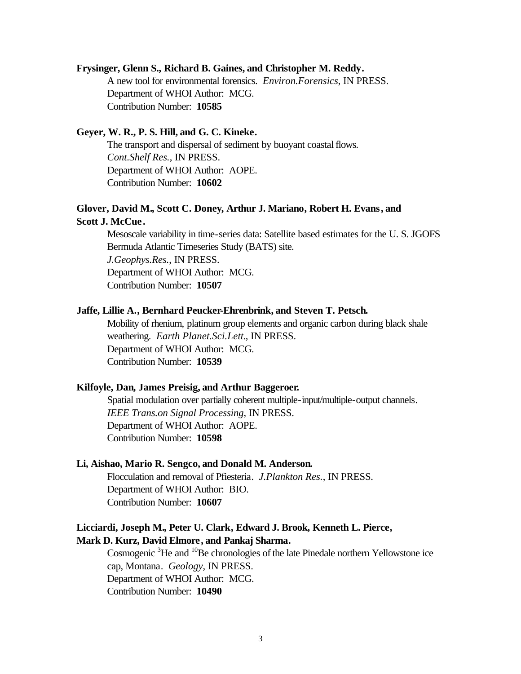#### **Frysinger, Glenn S., Richard B. Gaines, and Christopher M. Reddy.**

A new tool for environmental forensics. *Environ.Forensics*, IN PRESS. Department of WHOI Author: MCG. Contribution Number: **10585**

# **Geyer, W. R., P. S. Hill, and G. C. Kineke.**

The transport and dispersal of sediment by buoyant coastal flows. *Cont.Shelf Res.*, IN PRESS. Department of WHOI Author: AOPE. Contribution Number: **10602**

# **Glover, David M., Scott C. Doney, Arthur J. Mariano, Robert H. Evans, and Scott J. McCue .**

Mesoscale variability in time-series data: Satellite based estimates for the U. S. JGOFS Bermuda Atlantic Timeseries Study (BATS) site. *J.Geophys.Res.*, IN PRESS. Department of WHOI Author: MCG. Contribution Number: **10507**

#### **Jaffe, Lillie A., Bernhard Peucker-Ehrenbrink, and Steven T. Petsch.**

Mobility of rhenium, platinum group elements and organic carbon during black shale weathering. *Earth Planet.Sci.Lett.*, IN PRESS. Department of WHOI Author: MCG. Contribution Number: **10539**

#### **Kilfoyle, Dan, James Preisig, and Arthur Baggeroer.**

Spatial modulation over partially coherent multiple-input/multiple-output channels. *IEEE Trans.on Signal Processing*, IN PRESS. Department of WHOI Author: AOPE. Contribution Number: **10598**

## **Li, Aishao, Mario R. Sengco, and Donald M. Anderson.**

Flocculation and removal of Pfiesteria. *J.Plankton Res.*, IN PRESS. Department of WHOI Author: BIO. Contribution Number: **10607**

# **Licciardi, Joseph M., Peter U. Clark, Edward J. Brook, Kenneth L. Pierce, Mark D. Kurz, David Elmore, and Pankaj Sharma.**

Cosmogenic <sup>3</sup>He and <sup>10</sup>Be chronologies of the late Pinedale northern Yellowstone ice cap, Montana. *Geology*, IN PRESS. Department of WHOI Author: MCG. Contribution Number: **10490**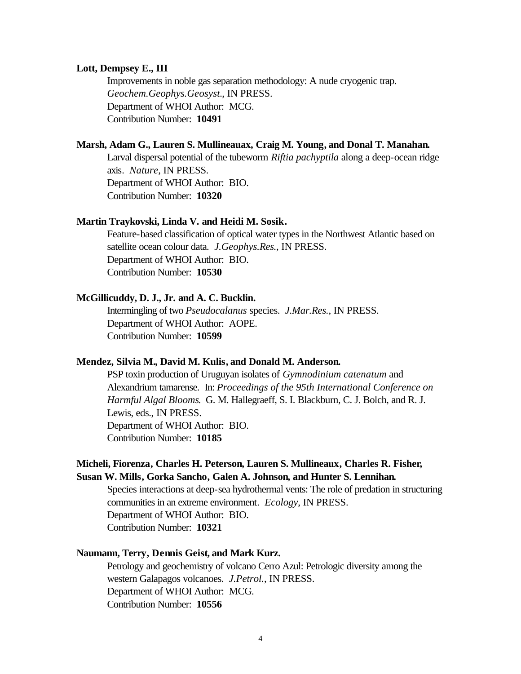#### **Lott, Dempsey E., III**

Improvements in noble gas separation methodology: A nude cryogenic trap. *Geochem.Geophys.Geosyst.*, IN PRESS. Department of WHOI Author: MCG. Contribution Number: **10491**

# **Marsh, Adam G., Lauren S. Mullineauax, Craig M. Young, and Donal T. Manahan.**

Larval dispersal potential of the tubeworm *Riftia pachyptila* along a deep-ocean ridge axis. *Nature*, IN PRESS. Department of WHOI Author: BIO. Contribution Number: **10320**

#### **Martin Traykovski, Linda V. and Heidi M. Sosik.**

Feature-based classification of optical water types in the Northwest Atlantic based on satellite ocean colour data. *J.Geophys.Res.*, IN PRESS. Department of WHOI Author: BIO. Contribution Number: **10530**

#### **McGillicuddy, D. J., Jr. and A. C. Bucklin.**

Intermingling of two *Pseudocalanus* species. *J.Mar.Res.*, IN PRESS. Department of WHOI Author: AOPE. Contribution Number: **10599**

# **Mendez, Silvia M., David M. Kulis, and Donald M. Anderson.**

PSP toxin production of Uruguyan isolates of *Gymnodinium catenatum* and Alexandrium tamarense. In: *Proceedings of the 95th International Conference on Harmful Algal Blooms*. G. M. Hallegraeff, S. I. Blackburn, C. J. Bolch, and R. J. Lewis, eds., IN PRESS. Department of WHOI Author: BIO. Contribution Number: **10185**

# **Micheli, Fiorenza, Charles H. Peterson, Lauren S. Mullineaux, Charles R. Fisher, Susan W. Mills, Gorka Sancho, Galen A. Johnson, and Hunter S. Lennihan.**

Species interactions at deep-sea hydrothermal vents: The role of predation in structuring communities in an extreme environment. *Ecology*, IN PRESS. Department of WHOI Author: BIO. Contribution Number: **10321**

# **Naumann, Terry, Dennis Geist, and Mark Kurz.**

Petrology and geochemistry of volcano Cerro Azul: Petrologic diversity among the western Galapagos volcanoes. *J.Petrol.*, IN PRESS. Department of WHOI Author: MCG. Contribution Number: **10556**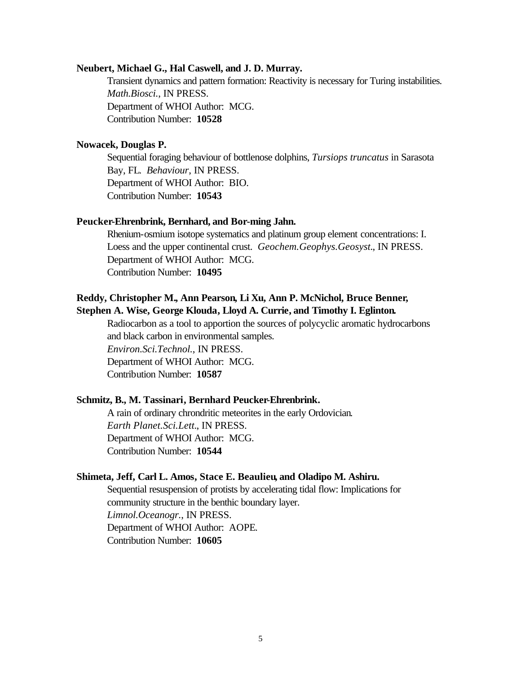#### **Neubert, Michael G., Hal Caswell, and J. D. Murray.**

Transient dynamics and pattern formation: Reactivity is necessary for Turing instabilities. *Math.Biosci.*, IN PRESS. Department of WHOI Author: MCG. Contribution Number: **10528**

# **Nowacek, Douglas P.**

Sequential foraging behaviour of bottlenose dolphins, *Tursiops truncatus* in Sarasota Bay, FL. *Behaviour*, IN PRESS. Department of WHOI Author: BIO. Contribution Number: **10543**

#### **Peucker-Ehrenbrink, Bernhard, and Bor-ming Jahn.**

Rhenium-osmium isotope systematics and platinum group element concentrations: I. Loess and the upper continental crust. *Geochem.Geophys.Geosyst.*, IN PRESS. Department of WHOI Author: MCG. Contribution Number: **10495**

# **Reddy, Christopher M., Ann Pearson, Li Xu, Ann P. McNichol, Bruce Benner, Stephen A. Wise, George Klouda, Lloyd A. Currie, and Timothy I. Eglinton.**

Radiocarbon as a tool to apportion the sources of polycyclic aromatic hydrocarbons and black carbon in environmental samples.

*Environ.Sci.Technol.*, IN PRESS.

Department of WHOI Author: MCG.

Contribution Number: **10587**

### **Schmitz, B., M. Tassinari, Bernhard Peucker-Ehrenbrink.**

A rain of ordinary chrondritic meteorites in the early Ordovician. *Earth Planet.Sci.Lett.*, IN PRESS. Department of WHOI Author: MCG. Contribution Number: **10544**

#### **Shimeta, Jeff, Carl L. Amos, Stace E. Beaulieu, and Oladipo M. Ashiru.**

Sequential resuspension of protists by accelerating tidal flow: Implications for community structure in the benthic boundary layer. *Limnol.Oceanogr.*, IN PRESS. Department of WHOI Author: AOPE. Contribution Number: **10605**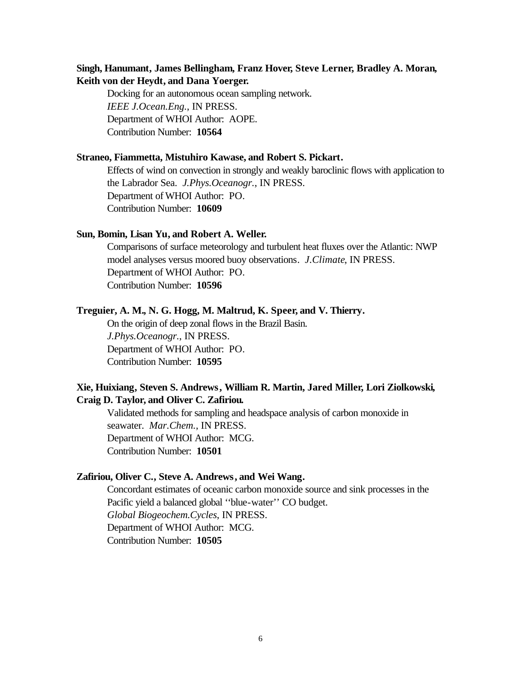# **Singh, Hanumant, James Bellingham, Franz Hover, Steve Lerner, Bradley A. Moran, Keith von der Heydt, and Dana Yoerger.**

Docking for an autonomous ocean sampling network. *IEEE J.Ocean.Eng.*, IN PRESS. Department of WHOI Author: AOPE. Contribution Number: **10564**

# **Straneo, Fiammetta, Mistuhiro Kawase, and Robert S. Pickart.**

Effects of wind on convection in strongly and weakly baroclinic flows with application to the Labrador Sea. *J.Phys.Oceanogr.*, IN PRESS. Department of WHOI Author: PO. Contribution Number: **10609**

#### **Sun, Bomin, Lisan Yu, and Robert A. Weller.**

Comparisons of surface meteorology and turbulent heat fluxes over the Atlantic: NWP model analyses versus moored buoy observations. *J.Climate*, IN PRESS. Department of WHOI Author: PO. Contribution Number: **10596**

#### **Treguier, A. M., N. G. Hogg, M. Maltrud, K. Speer, and V. Thierry.**

On the origin of deep zonal flows in the Brazil Basin. *J.Phys.Oceanogr.*, IN PRESS. Department of WHOI Author: PO. Contribution Number: **10595**

# **Xie, Huixiang, Steven S. Andrews, William R. Martin, Jared Miller, Lori Ziolkowski, Craig D. Taylor, and Oliver C. Zafiriou.**

Validated methods for sampling and headspace analysis of carbon monoxide in seawater. *Mar.Chem.*, IN PRESS. Department of WHOI Author: MCG. Contribution Number: **10501**

#### **Zafiriou, Oliver C., Steve A. Andrews, and Wei Wang.**

Concordant estimates of oceanic carbon monoxide source and sink processes in the Pacific yield a balanced global ''blue-water'' CO budget. *Global Biogeochem.Cycles*, IN PRESS. Department of WHOI Author: MCG. Contribution Number: **10505**